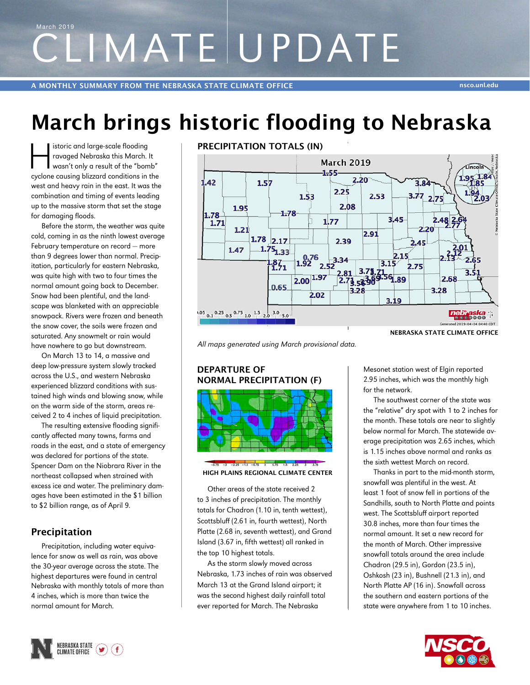# CLIMATE UPDATE March 2019

## **March brings historic flooding to Nebraska**

istoric and large-scale flooding<br>ravaged Nebraska this March.<br>wasn't only a result of the "bom ravaged Nebraska this March. It wasn't only a result of the "bomb" cyclone causing blizzard conditions in the west and heavy rain in the east. It was the combination and timing of events leading up to the massive storm that set the stage for damaging floods.

Before the storm, the weather was quite cold, coming in as the ninth lowest average February temperature on record ― more than 9 degrees lower than normal. Precipitation, particularly for eastern Nebraska, was quite high with two to four times the normal amount going back to December. Snow had been plentiful, and the landscape was blanketed with an appreciable snowpack. Rivers were frozen and beneath the snow cover, the soils were frozen and saturated. Any snowmelt or rain would have nowhere to go but downstream.

On March 13 to 14, a massive and deep low-pressure system slowly tracked across the U.S., and western Nebraska experienced blizzard conditions with sustained high winds and blowing snow, while on the warm side of the storm, areas received 2 to 4 inches of liquid precipitation.

The resulting extensive flooding significantly affected many towns, farms and roads in the east, and a state of emergency was declared for portions of the state. Spencer Dam on the Niobrara River in the northeast collapsed when strained with excess ice and water. The preliminary damages have been estimated in the \$1 billion to \$2 billion range, as of April 9.

#### **Precipitation**

Precipitation, including water equivalence for snow as well as rain, was above the 30-year average across the state. The highest departures were found in central Nebraska with monthly totals of more than 4 inches, which is more than twice the normal amount for March.



*All maps generated using March provisional data.*

#### **DEPARTURE OF NORMAL PRECIPITATION (F)**



## **HIGH PLAINS REGIONAL CLIMATE CENTER**

Other areas of the state received 2 to 3 inches of precipitation. The monthly totals for Chadron (1.10 in, tenth wettest), Scottsbluff (2.61 in, fourth wettest), North Platte (2.68 in, seventh wettest), and Grand Island (3.67 in, fifth wettest) all ranked in the top 10 highest totals.

As the storm slowly moved across Nebraska, 1.73 inches of rain was observed March 13 at the Grand Island airport; it was the second highest daily rainfall total ever reported for March. The Nebraska

Mesonet station west of Elgin reported 2.95 inches, which was the monthly high for the network.

The southwest corner of the state was the "relative" dry spot with 1 to 2 inches for the month. These totals are near to slightly below normal for March. The statewide average precipitation was 2.65 inches, which is 1.15 inches above normal and ranks as the sixth wettest March on record.

Thanks in part to the mid-month storm, snowfall was plentiful in the west. At least 1 foot of snow fell in portions of the Sandhills, south to North Platte and points west. The Scottsbluff airport reported 30.8 inches, more than four times the normal amount. It set a new record for the month of March. Other impressive snowfall totals around the area include Chadron (29.5 in), Gordon (23.5 in), Oshkosh (23 in), Bushnell (21.3 in), and North Platte AP (16 in). Snowfall across the southern and eastern portions of the state were anywhere from 1 to 10 inches.